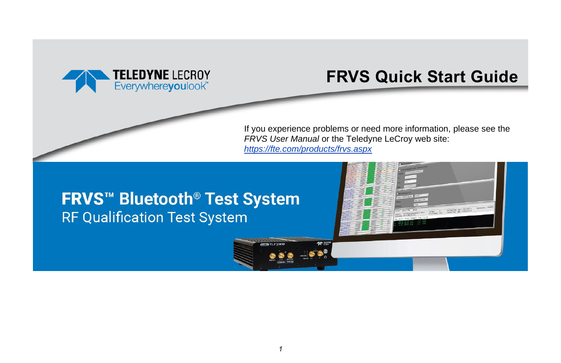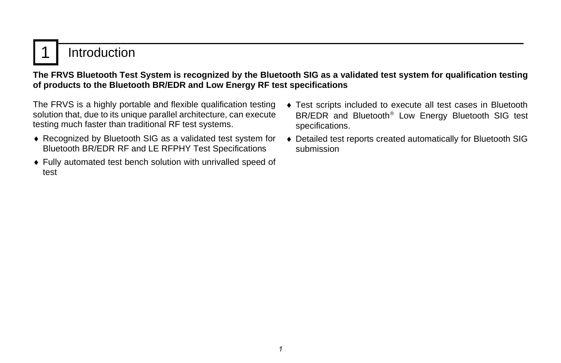## **Introduction**

### **The FRVS Bluetooth Test System is recognized by the Bluetooth SIG as a validated test system for qualification testing of products to the Bluetooth BR/EDR and Low Energy RF test specifications**

The FRVS is a highly portable and flexible qualification testing solution that, due to its unique parallel architecture, can execute testing much faster than traditional RF test systems.

- Recognized by Bluetooth SIG as a validated test system for Bluetooth BR/EDR RF and LE RFPHY Test Specifications
- Fully automated test bench solution with unrivalled speed of test
- Test scripts included to execute all test cases in Bluetooth BR/EDR and Bluetooth<sup>®</sup> Low Energy Bluetooth SIG test specifications.
- Detailed test reports created automatically for Bluetooth SIG submission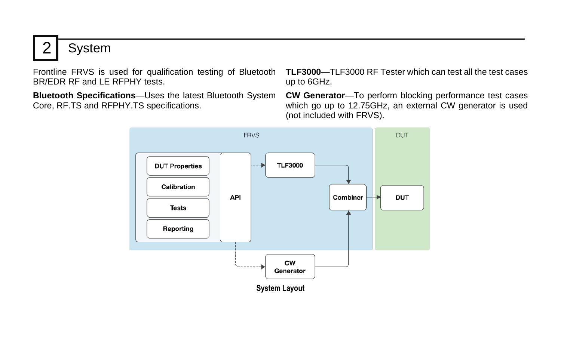2 | System

Frontline FRVS is used for qualification testing of Bluetooth BR/FDR RF and LF RFPHY tests.

**Bluetooth Specifications**—Uses the latest Bluetooth System Core, RF.TS and RFPHY.TS specifications.

**TLF3000**—TLF3000 RF Tester which can test all the test cases up to 6GHz.

**CW Generator**—To perform blocking performance test cases which go up to 12.75GHz, an external CW generator is used (not included with FRVS).

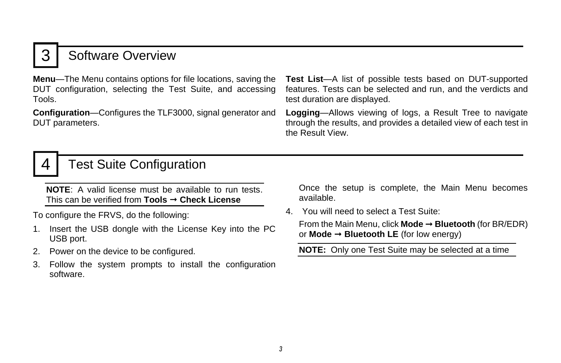## **Software Overview**

**Menu**—The Menu contains options for file locations, saving the DUT configuration, selecting the Test Suite, and accessing Tools.

**Configuration**—Configures the TLF3000, signal generator and DUT parameters.

**Test List**—A list of possible tests based on DUT-supported features. Tests can be selected and run, and the verdicts and test duration are displayed.

**Logging**—Allows viewing of logs, a Result Tree to navigate through the results, and provides a detailed view of each test in the Result View.

## 4 | Test Suite Configuration

**NOTE**: A valid license must be available to run tests. This can be verified from **Tools Check License** 

To configure the FRVS, do the following:

- 1. Insert the USB dongle with the License Key into the PC USB port.
- 2. Power on the device to be configured.
- 3. Follow the system prompts to install the configuration software.

Once the setup is complete, the Main Menu becomes available.

4. You will need to select a Test Suite:

From the Main Menu, click **Mode → Bluetooth** (for BR/EDR) or **Mode Bluetooth LE** (for low energy)

**NOTE:** Only one Test Suite may be selected at a time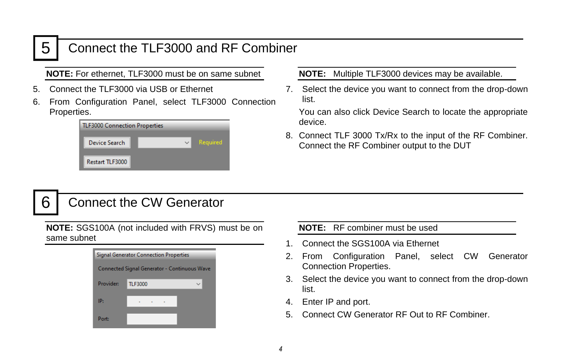## 5 Connect the TLF3000 and RF Combiner

**NOTE:** For ethernet, TLF3000 must be on same subnet

- 5. Connect the TLF3000 via USB or Ethernet
- 6. From Configuration Panel, select TLF3000 Connection Properties.

| <b>TLF3000 Connection Properties</b> |  |              |          |  |
|--------------------------------------|--|--------------|----------|--|
| Device Search                        |  | $\checkmark$ | Required |  |
| Restart TLF3000                      |  |              |          |  |

**NOTE:** Multiple TLF3000 devices may be available.

7. Select the device you want to connect from the drop-down list.

You can also click Device Search to locate the appropriate device.

8. Connect TLF 3000 Tx/Rx to the input of the RF Combiner. Connect the RF Combiner output to the DUT

## 6 Connect the CW Generator

**NOTE:** SGS100A (not included with FRVS) must be on same subnet

| <b>Signal Generator Connection Properties</b> |                |  |  |  |
|-----------------------------------------------|----------------|--|--|--|
| Connected Signal Generator - Continuous Wave  |                |  |  |  |
| <b>Provider:</b>                              | <b>TLF3000</b> |  |  |  |
| IP:                                           | . .            |  |  |  |
| Port:                                         |                |  |  |  |

**NOTE:** RF combiner must be used

- 1. Connect the SGS100A via Ethernet
- 2. From Configuration Panel, select CW Generator Connection Properties.
- 3. Select the device you want to connect from the drop-down list.
- 4. Enter IP and port.
- 5. Connect CW Generator RF Out to RF Combiner.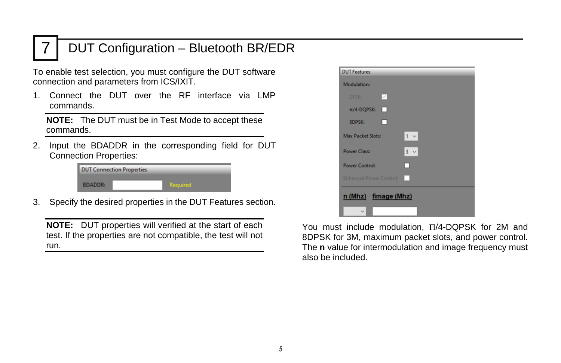## 7 DUT Configuration – Bluetooth BR/EDR

To enable test selection, you must configure the DUT software connection and parameters from ICS/IXIT.

1. Connect the DUT over the RF interface via LMP commands.

**NOTE:** The DUT must be in Test Mode to accept these commands.

2. Input the BDADDR in the corresponding field for DUT Connection Properties:

| <b>DUT Connection Properties</b> |                 |  |
|----------------------------------|-----------------|--|
| <b>BDADDR:</b>                   | <b>Required</b> |  |

3. Specify the desired properties in the DUT Features section.

**NOTE:** DUT properties will verified at the start of each test. If the properties are not compatible, the test will not run.



You must include modulation,  $\Pi/4$ -DQPSK for 2M and 8DPSK for 3M, maximum packet slots, and power control. The **n** value for intermodulation and image frequency must also be included.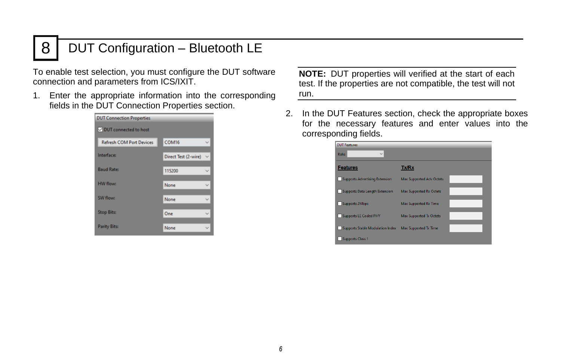## 8 | DUT Configuration – Bluetooth LE

To enable test selection, you must configure the DUT software connection and parameters from ICS/IXIT.

1. Enter the appropriate information into the corresponding fields in the DUT Connection Properties section.

| <b>DUT Connection Properties</b> |                                      |  |
|----------------------------------|--------------------------------------|--|
| OUT connected to host            |                                      |  |
| <b>Refresh COM Port Devices</b>  | COM16                                |  |
| Interfaces                       | $\checkmark$<br>Direct Test (2-wire) |  |
| <b>Baud Rate:</b>                | 115200<br>$\checkmark$               |  |
| <b>HW</b> flows                  | None                                 |  |
| SW flow:                         | None                                 |  |
| <b>Stop Bits:</b>                | One<br>$\checkmark$                  |  |
| <b>Parity Bits:</b>              | None                                 |  |

**NOTE:** DUT properties will verified at the start of each test. If the properties are not compatible, the test will not run.

2. In the DUT Features section, check the appropriate boxes for the necessary features and enter values into the corresponding fields.

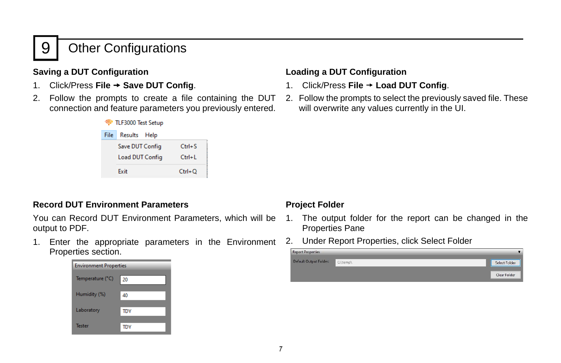## 9 | Other Configurations

### **Saving a DUT Configuration**

- 1. Click/Press **File Save DUT Config**.
- 2. Follow the prompts to create a file containing the DUT connection and feature parameters you previously entered.



#### **Record DUT Environment Parameters**

You can Record DUT Environment Parameters, which will be output to PDF.

1. Enter the appropriate parameters in the Environment Properties section.



#### **Loading a DUT Configuration**

- 1. Click/Press **File Load DUT Config**.
- 2. Follow the prompts to select the previously saved file. These will overwrite any values currently in the UI.

#### **Project Folder**

- 1. The output folder for the report can be changed in the Properties Pane
- 2. Under Report Properties, click Select Folder

| <b>Report Properties</b> |          |               |
|--------------------------|----------|---------------|
| Default Output Folder:   | C:\temp\ | Select Folder |
|                          |          | Clear Folder  |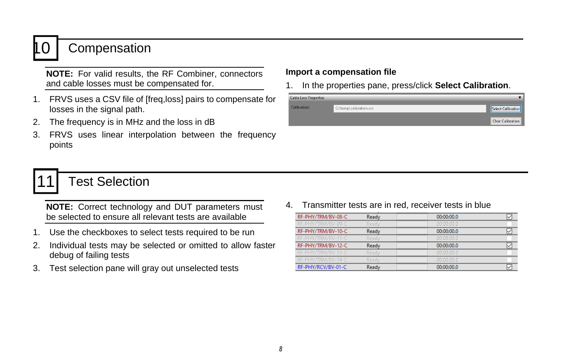## **Compensation**

**NOTE:** For valid results, the RF Combiner, connectors and cable losses must be compensated for.

- 1. FRVS uses a CSV file of [freq,loss] pairs to compensate for losses in the signal path.
- 2. The frequency is in MHz and the loss in dB
- 3. FRVS uses linear interpolation between the frequency points

#### **Import a compensation file**

1. In the properties pane, press/click **Select Calibration**.

| <b>Cable Loss Properties</b> |                         |                          |
|------------------------------|-------------------------|--------------------------|
| Calibration:                 | C:\temp\calibration.csv | Select Calibration       |
|                              |                         | <b>Clear Calibration</b> |

## **Test Selection**

**NOTE:** Correct technology and DUT parameters must be selected to ensure all relevant tests are available

- 1. Use the checkboxes to select tests required to be run
- 2. Individual tests may be selected or omitted to allow faster debug of failing tests
- 3. Test selection pane will gray out unselected tests

4. Transmitter tests are in red, receiver tests in blue

| RF-PHY/TRM/BV-08-C | Ready | 00:00:00.0 | ⋉ |
|--------------------|-------|------------|---|
| RF-PHY/TRM/BV-09-C | Ready | 00:00:00.0 |   |
| RF-PHY/TRM/BV-10-C | Ready | 00:00:00.0 | ∨ |
| RF-PHY/TRM/BV-11-C | Ready | 00:00:00.0 |   |
| RF-PHY/TRM/BV-12-C | Ready | 00:00:00.0 | ✓ |
| RF-PHY/TRM/BV-13-C | Ready | 00:00:00.0 |   |
| RF-PHY/TRM/BV-14-C | Ready | 00:00:00.0 |   |
| RF-PHY/RCV/BV-01-C | Ready | 00:00:00.0 | ⋈ |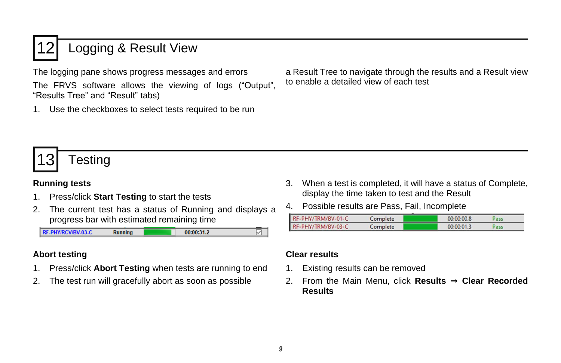## Logging & Result View

The logging pane shows progress messages and errors

The FRVS software allows the viewing of logs ("Output", "Results Tree" and "Result" tabs)

1. Use the checkboxes to select tests required to be run

a Result Tree to navigate through the results and a Result view to enable a detailed view of each test

# **Testing**

### **Running tests**

- 1. Press/click **Start Testing** to start the tests
- 2. The current test has a status of Running and displays a progress bar with estimated remaining time



### **Abort testing**

- 1. Press/click **Abort Testing** when tests are running to end
- 2. The test run will gracefully abort as soon as possible
- 3. When a test is completed, it will have a status of Complete, display the time taken to test and the Result
- 4. Possible results are Pass, Fail, Incomplete

| RF-PHY/TRM/BV-01-C | Complete | 00:00:00.8 | Pass |  |
|--------------------|----------|------------|------|--|
| RF-PHY/TRM/BV-03-C | Complete | 00:00:01.3 | Pass |  |

#### **Clear results**

- 1. Existing results can be removed
- 2. From the Main Menu, click **Results Clear Recorded Results**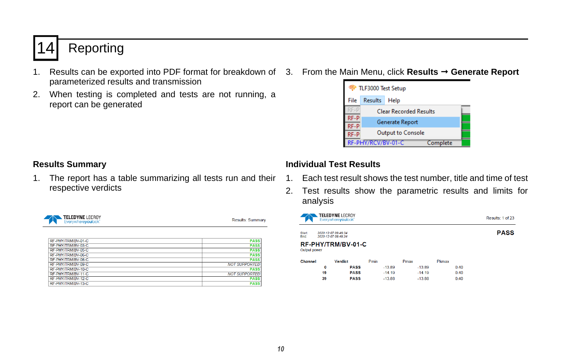# **Reporting**

- 1. Results can be exported into PDF format for breakdown of 3. From the Main Menu, click **Results Generate Report** parameterized results and transmission
- 2. When testing is completed and tests are not running, a report can be generated
- 



#### **Results Summary**

1. The report has a table summarizing all tests run and their respective verdicts



Results: Summary

| RF-PHY/TRM/BV-01-C | <b>PASS</b>          |
|--------------------|----------------------|
| RF-PHY/TRM/BV-03-C | <b>PASS</b>          |
| RF-PHY/TRM/BV-05-C | <b>PASS</b>          |
| RF-PHY/TRM/BV-06-C | <b>PASS</b>          |
| RE-PHY/TRM/BV-08-C | <b>PASS</b>          |
| RF-PHY/TRM/BV-09-C | <b>NOT SUPPORTED</b> |
| RF-PHY/TRM/BV-10-C | <b>PASS</b>          |
| RF-PHY/TRM/BV-11-C | <b>NOT SUPPORTED</b> |
| RF-PHY/TRM/BV-12-C | <b>PASS</b>          |
| RF-PHY/TRM/BV-13-C | <b>PASS</b>          |
|                    |                      |

## **Individual Test Results**

- 1. Each test result shows the test number, title and time of test
- 2. Test results show the parametric results and limits for analysis

|                       | <b>TELEDYNE</b> LECROY<br>Everywherevoulook" |                    |          |          |       | Results: 1 of 23 |
|-----------------------|----------------------------------------------|--------------------|----------|----------|-------|------------------|
| <b>Start:</b><br>End: | 2020-12-07 09:49:34<br>2020-12-07 09:49:34   |                    |          |          |       | <b>PASS</b>      |
| Output power          |                                              | RF-PHY/TRM/BV-01-C |          |          |       |                  |
| <b>Channel</b>        |                                              | <b>Verdict</b>     | Pmin     | Pmax     | Pkmax |                  |
|                       | 0                                            | <b>PASS</b>        | $-13.89$ | $-13.89$ | 0.40  |                  |
|                       | 19                                           | <b>PASS</b>        | $-14.19$ | $-14.19$ | 0.40  |                  |
|                       | 39                                           | <b>PASS</b>        | $-13.88$ | $-13.88$ | 0.40  |                  |